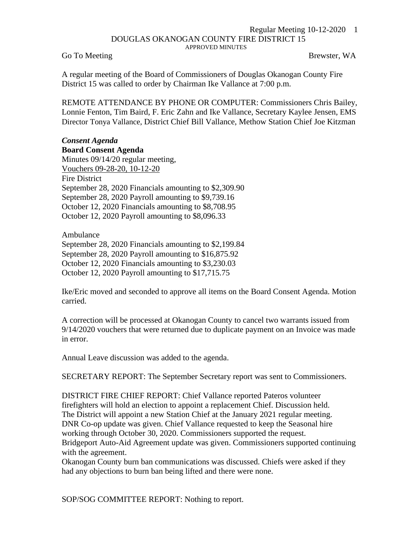## Regular Meeting 10-12-2020 1 DOUGLAS OKANOGAN COUNTY FIRE DISTRICT 15 APPROVED MINUTES

Go To Meeting Brewster, WA

A regular meeting of the Board of Commissioners of Douglas Okanogan County Fire District 15 was called to order by Chairman Ike Vallance at 7:00 p.m.

REMOTE ATTENDANCE BY PHONE OR COMPUTER: Commissioners Chris Bailey, Lonnie Fenton, Tim Baird, F. Eric Zahn and Ike Vallance, Secretary Kaylee Jensen, EMS Director Tonya Vallance, District Chief Bill Vallance, Methow Station Chief Joe Kitzman

## *Consent Agenda* **Board Consent Agenda**

Minutes 09/14/20 regular meeting, Vouchers 09-28-20, 10-12-20 Fire District September 28, 2020 Financials amounting to \$2,309.90 September 28, 2020 Payroll amounting to \$9,739.16 October 12, 2020 Financials amounting to \$8,708.95 October 12, 2020 Payroll amounting to \$8,096.33

Ambulance September 28, 2020 Financials amounting to \$2,199.84 September 28, 2020 Payroll amounting to \$16,875.92 October 12, 2020 Financials amounting to \$3,230.03 October 12, 2020 Payroll amounting to \$17,715.75

Ike/Eric moved and seconded to approve all items on the Board Consent Agenda. Motion carried.

A correction will be processed at Okanogan County to cancel two warrants issued from 9/14/2020 vouchers that were returned due to duplicate payment on an Invoice was made in error.

Annual Leave discussion was added to the agenda.

SECRETARY REPORT: The September Secretary report was sent to Commissioners.

DISTRICT FIRE CHIEF REPORT: Chief Vallance reported Pateros volunteer firefighters will hold an election to appoint a replacement Chief. Discussion held. The District will appoint a new Station Chief at the January 2021 regular meeting. DNR Co-op update was given. Chief Vallance requested to keep the Seasonal hire working through October 30, 2020. Commissioners supported the request. Bridgeport Auto-Aid Agreement update was given. Commissioners supported continuing with the agreement.

Okanogan County burn ban communications was discussed. Chiefs were asked if they had any objections to burn ban being lifted and there were none.

SOP/SOG COMMITTEE REPORT: Nothing to report.